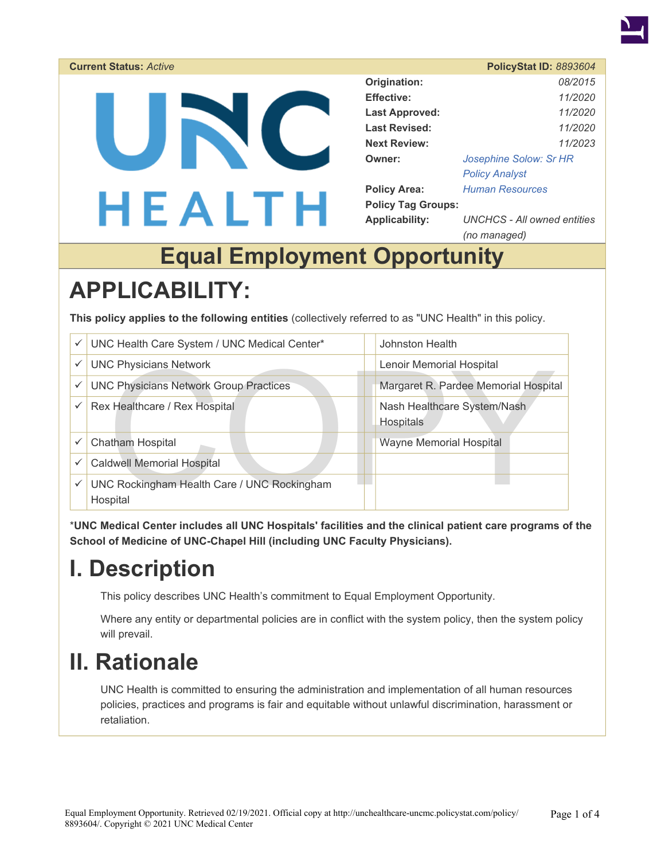

| <b>Current Status: Active</b> |                           | <b>PolicyStat ID: 8893604</b> |  |
|-------------------------------|---------------------------|-------------------------------|--|
|                               | Origination:              | 08/2015                       |  |
|                               | <b>Effective:</b>         | 11/2020                       |  |
|                               | <b>Last Approved:</b>     | 11/2020                       |  |
|                               | <b>Last Revised:</b>      | 11/2020                       |  |
|                               | <b>Next Review:</b>       | 11/2023                       |  |
|                               | Owner:                    | Josephine Solow: Sr HR        |  |
|                               |                           | <b>Policy Analyst</b>         |  |
|                               | <b>Policy Area:</b>       | <b>Human Resources</b>        |  |
| HEALTH                        | <b>Policy Tag Groups:</b> |                               |  |
|                               | <b>Applicability:</b>     | UNCHCS - All owned entities   |  |
|                               |                           | (no managed)                  |  |

# **Equal Employment Opportunity**

# **APPLICABILITY:**

**This policy applies to the following entities** (collectively referred to as "UNC Health" in this policy.

| ✓ | UNC Health Care System / UNC Medical Center*            | Johnston Health                                 |  |
|---|---------------------------------------------------------|-------------------------------------------------|--|
| ✓ | <b>UNC Physicians Network</b>                           | Lenoir Memorial Hospital                        |  |
|   | <b>UNC Physicians Network Group Practices</b>           | Margaret R. Pardee Memorial Hospital            |  |
| ✓ | Rex Healthcare / Rex Hospital                           | Nash Healthcare System/Nash<br><b>Hospitals</b> |  |
|   | Chatham Hospital                                        | <b>Wayne Memorial Hospital</b>                  |  |
|   | <b>Caldwell Memorial Hospital</b>                       |                                                 |  |
| ✓ | UNC Rockingham Health Care / UNC Rockingham<br>Hospital |                                                 |  |

\***UNC Medical Center includes all UNC Hospitals' facilities and the clinical patient care programs of the School of Medicine of UNC-Chapel Hill (including UNC Faculty Physicians).** 

# **I. Description**

This policy describes UNC Health's commitment to Equal Employment Opportunity.

Where any entity or departmental policies are in conflict with the system policy, then the system policy will prevail.

# **II. Rationale**

UNC Health is committed to ensuring the administration and implementation of all human resources policies, practices and programs is fair and equitable without unlawful discrimination, harassment or retaliation.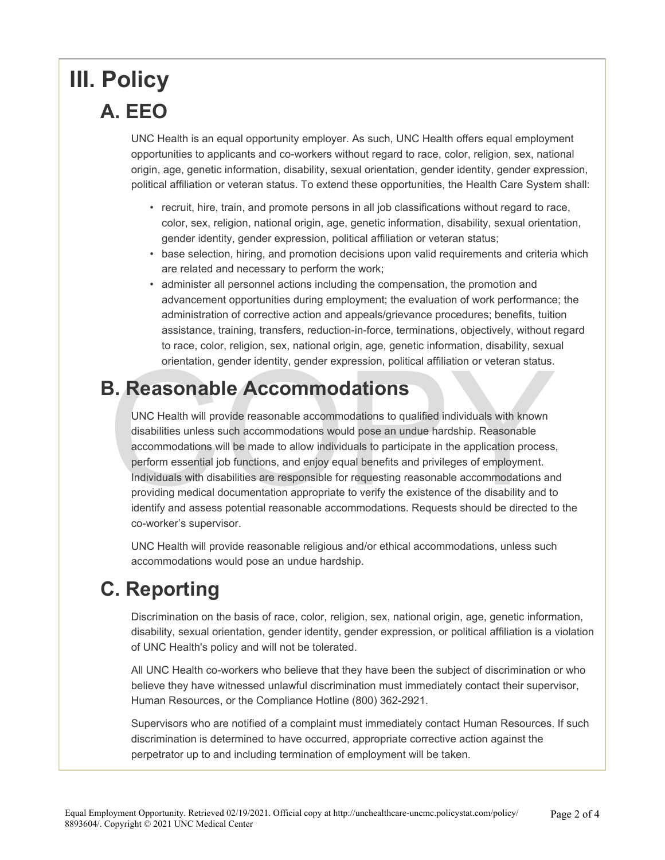# **III. Policy A. EEO**

UNC Health is an equal opportunity employer. As such, UNC Health offers equal employment opportunities to applicants and co-workers without regard to race, color, religion, sex, national origin, age, genetic information, disability, sexual orientation, gender identity, gender expression, political affiliation or veteran status. To extend these opportunities, the Health Care System shall:

- recruit, hire, train, and promote persons in all job classifications without regard to race, color, sex, religion, national origin, age, genetic information, disability, sexual orientation, gender identity, gender expression, political affiliation or veteran status;
- base selection, hiring, and promotion decisions upon valid requirements and criteria which are related and necessary to perform the work;
- administer all personnel actions including the compensation, the promotion and advancement opportunities during employment; the evaluation of work performance; the administration of corrective action and appeals/grievance procedures; benefits, tuition assistance, training, transfers, reduction-in-force, terminations, objectively, without regard to race, color, religion, sex, national origin, age, genetic information, disability, sexual orientation, gender identity, gender expression, political affiliation or veteran status.

#### **B. Reasonable Accommodations**

orientation, gender identity, gender expression, political affiliation or veteran status.<br>
COMMODIATIONS<br>
UNC Health will provide reasonable accommodations to qualified individuals with known<br>
disabilities unless such acco UNC Health will provide reasonable accommodations to qualified individuals with known disabilities unless such accommodations would pose an undue hardship. Reasonable accommodations will be made to allow individuals to participate in the application process, perform essential job functions, and enjoy equal benefits and privileges of employment. Individuals with disabilities are responsible for requesting reasonable accommodations and providing medical documentation appropriate to verify the existence of the disability and to identify and assess potential reasonable accommodations. Requests should be directed to the co-worker's supervisor.

UNC Health will provide reasonable religious and/or ethical accommodations, unless such accommodations would pose an undue hardship.

### **C. Reporting**

Discrimination on the basis of race, color, religion, sex, national origin, age, genetic information, disability, sexual orientation, gender identity, gender expression, or political affiliation is a violation of UNC Health's policy and will not be tolerated.

All UNC Health co-workers who believe that they have been the subject of discrimination or who believe they have witnessed unlawful discrimination must immediately contact their supervisor, Human Resources, or the Compliance Hotline (800) 362-2921.

Supervisors who are notified of a complaint must immediately contact Human Resources. If such discrimination is determined to have occurred, appropriate corrective action against the perpetrator up to and including termination of employment will be taken.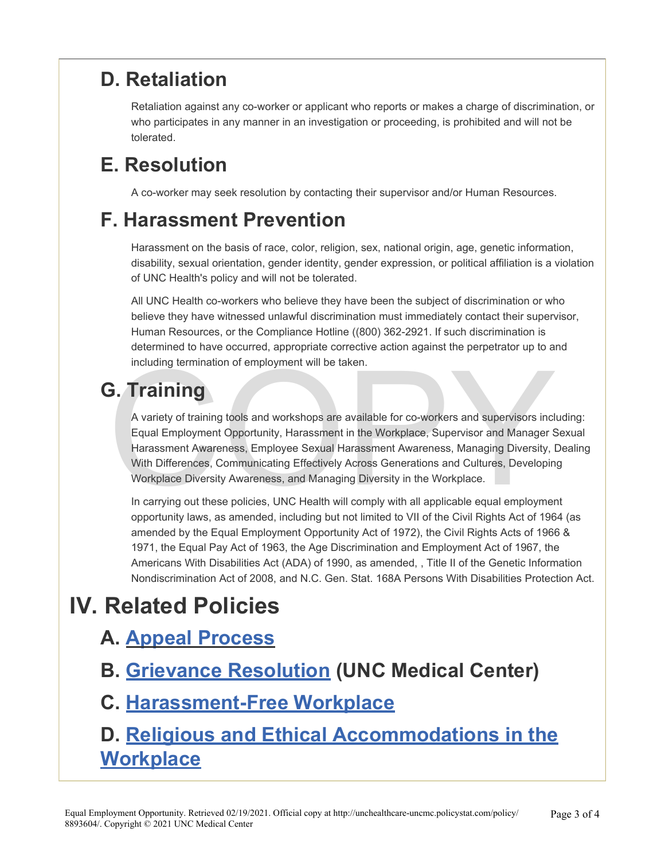### **D. Retaliation**

Retaliation against any co-worker or applicant who reports or makes a charge of discrimination, or who participates in any manner in an investigation or proceeding, is prohibited and will not be tolerated.

## **E. Resolution**

A co-worker may seek resolution by contacting their supervisor and/or Human Resources.

#### **F. Harassment Prevention**

Harassment on the basis of race, color, religion, sex, national origin, age, genetic information, disability, sexual orientation, gender identity, gender expression, or political affiliation is a violation of UNC Health's policy and will not be tolerated.

All UNC Health co-workers who believe they have been the subject of discrimination or who believe they have witnessed unlawful discrimination must immediately contact their supervisor, Human Resources, or the Compliance Hotline ((800) 362-2921. If such discrimination is determined to have occurred, appropriate corrective action against the perpetrator up to and including termination of employment will be taken.

## **G. Training**

COPY A variety of training tools and workshops are available for co-workers and supervisors including: Equal Employment Opportunity, Harassment in the Workplace, Supervisor and Manager Sexual Harassment Awareness, Employee Sexual Harassment Awareness, Managing Diversity, Dealing With Differences, Communicating Effectively Across Generations and Cultures, Developing Workplace Diversity Awareness, and Managing Diversity in the Workplace.

In carrying out these policies, UNC Health will comply with all applicable equal employment opportunity laws, as amended, including but not limited to VII of the Civil Rights Act of 1964 (as amended by the Equal Employment Opportunity Act of 1972), the Civil Rights Acts of 1966 & 1971, the Equal Pay Act of 1963, the Age Discrimination and Employment Act of 1967, the Americans With Disabilities Act (ADA) of 1990, as amended, , Title II of the Genetic Information Nondiscrimination Act of 2008, and N.C. Gen. Stat. 168A Persons With Disabilities Protection Act.

# **IV. Related Policies**

#### **A. [Appeal Process](https://unchealthcare.policystat.com/policy/7307742/latest/)**

**B. [Grievance Resolution](https://unchealthcare-uncmc.policystat.com/policy/4983604/latest/) (UNC Medical Center)** 

#### **C. [Harassment-Free Workplace](https://unchealthcare-uncmc.policystat.com/policy/4982115/latest/)**

### **D. [Religious and Ethical Accommodations in the](https://unchealthcare.policystat.com/policy/6857926/latest/) [Workplace](https://unchealthcare.policystat.com/policy/6857926/latest/)**